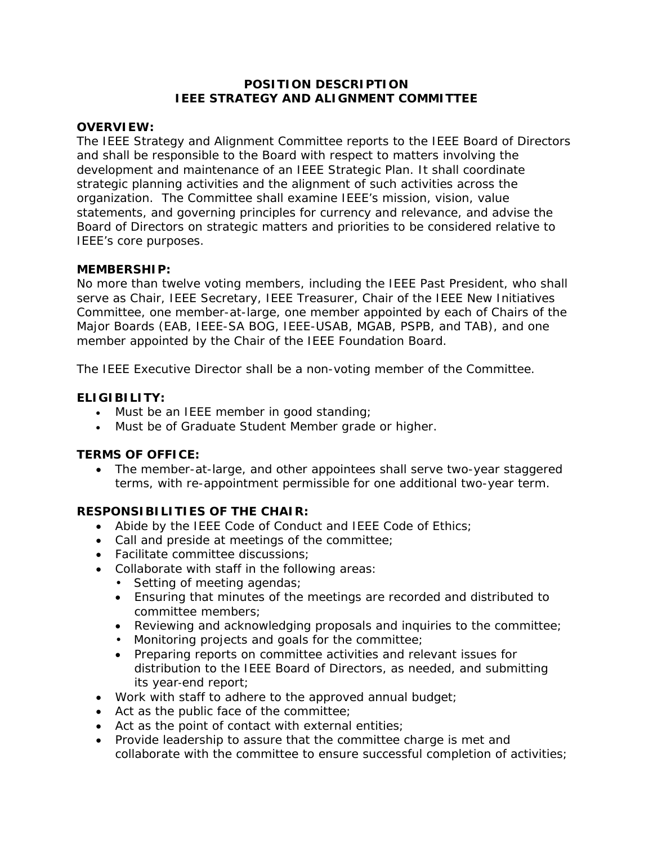### **POSITION DESCRIPTION IEEE STRATEGY AND ALIGNMENT COMMITTEE**

### **OVERVIEW:**

The IEEE Strategy and Alignment Committee reports to the IEEE Board of Directors and shall be responsible to the Board with respect to matters involving the development and maintenance of an IEEE Strategic Plan. It shall coordinate strategic planning activities and the alignment of such activities across the organization. The Committee shall examine IEEE's mission, vision, value statements, and governing principles for currency and relevance, and advise the Board of Directors on strategic matters and priorities to be considered relative to IEEE's core purposes.

#### **MEMBERSHIP:**

No more than twelve voting members, including the IEEE Past President, who shall serve as Chair, IEEE Secretary, IEEE Treasurer, Chair of the IEEE New Initiatives Committee, one member-at-large, one member appointed by each of Chairs of the Major Boards (EAB, IEEE-SA BOG, IEEE-USAB, MGAB, PSPB, and TAB), and one member appointed by the Chair of the IEEE Foundation Board.

The IEEE Executive Director shall be a non-voting member of the Committee.

## **ELIGIBILITY:**

- Must be an IEEE member in good standing;
- Must be of Graduate Student Member grade or higher.

### **TERMS OF OFFICE:**

 The member-at-large, and other appointees shall serve two-year staggered terms, with re-appointment permissible for one additional two-year term.

### **RESPONSIBILITIES OF THE CHAIR:**

- Abide by the IEEE Code of Conduct and IEEE Code of Ethics;
- Call and preside at meetings of the committee;
- Facilitate committee discussions;
- Collaborate with staff in the following areas:
	- Setting of meeting agendas;
	- Ensuring that minutes of the meetings are recorded and distributed to committee members;
	- Reviewing and acknowledging proposals and inquiries to the committee;
	- Monitoring projects and goals for the committee;
	- Preparing reports on committee activities and relevant issues for distribution to the IEEE Board of Directors, as needed, and submitting its year‐end report;
- Work with staff to adhere to the approved annual budget;
- Act as the public face of the committee;
- Act as the point of contact with external entities;
- Provide leadership to assure that the committee charge is met and collaborate with the committee to ensure successful completion of activities;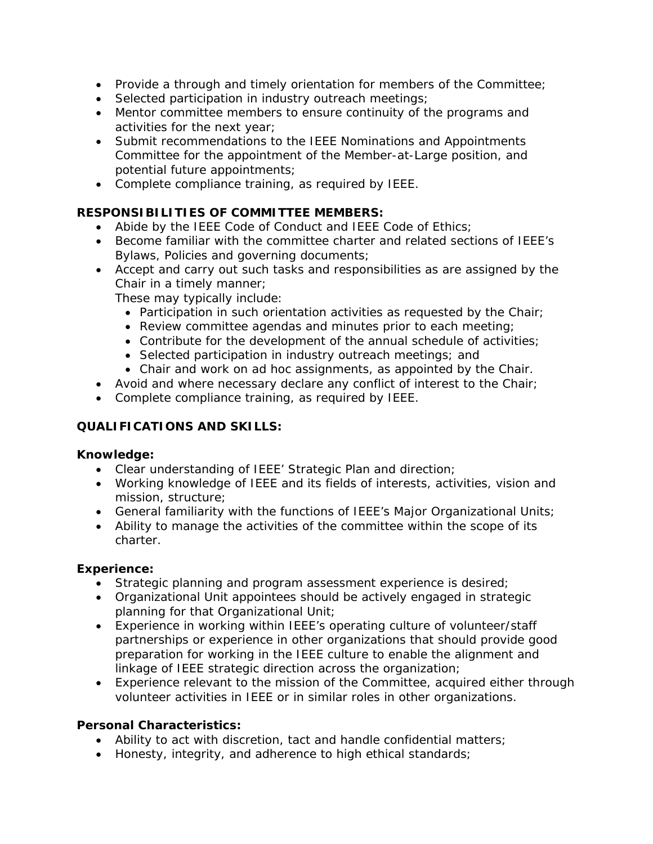- Provide a through and timely orientation for members of the Committee;
- Selected participation in industry outreach meetings;
- Mentor committee members to ensure continuity of the programs and activities for the next year;
- Submit recommendations to the IEEE Nominations and Appointments Committee for the appointment of the Member-at-Large position, and potential future appointments;
- Complete compliance training, as required by IEEE.

# **RESPONSIBILITIES OF COMMITTEE MEMBERS:**

- Abide by the IEEE Code of Conduct and IEEE Code of Ethics;
- Become familiar with the committee charter and related sections of IEEE's Bylaws, Policies and governing documents;
- Accept and carry out such tasks and responsibilities as are assigned by the Chair in a timely manner;

These may typically include:

- Participation in such orientation activities as requested by the Chair;
- Review committee agendas and minutes prior to each meeting;
- Contribute for the development of the annual schedule of activities;
- Selected participation in industry outreach meetings; and
- Chair and work on ad hoc assignments, as appointed by the Chair.
- Avoid and where necessary declare any conflict of interest to the Chair;
- Complete compliance training, as required by IEEE.

# **QUALIFICATIONS AND SKILLS:**

# **Knowledge:**

- Clear understanding of IEEE' Strategic Plan and direction;
- Working knowledge of IEEE and its fields of interests, activities, vision and mission, structure;
- General familiarity with the functions of IEEE's Major Organizational Units;
- Ability to manage the activities of the committee within the scope of its charter.

# **Experience:**

- Strategic planning and program assessment experience is desired;
- Organizational Unit appointees should be actively engaged in strategic planning for that Organizational Unit;
- Experience in working within IEEE's operating culture of volunteer/staff partnerships or experience in other organizations that should provide good preparation for working in the IEEE culture to enable the alignment and linkage of IEEE strategic direction across the organization;
- Experience relevant to the mission of the Committee, acquired either through volunteer activities in IEEE or in similar roles in other organizations.

# **Personal Characteristics:**

- Ability to act with discretion, tact and handle confidential matters;
- Honesty, integrity, and adherence to high ethical standards;